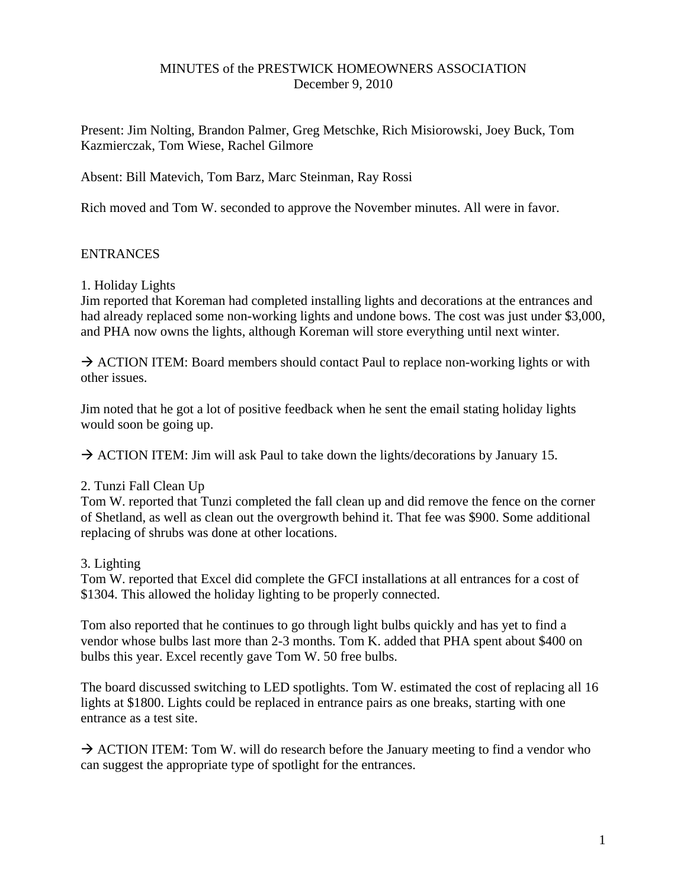## MINUTES of the PRESTWICK HOMEOWNERS ASSOCIATION December 9, 2010

Present: Jim Nolting, Brandon Palmer, Greg Metschke, Rich Misiorowski, Joey Buck, Tom Kazmierczak, Tom Wiese, Rachel Gilmore

Absent: Bill Matevich, Tom Barz, Marc Steinman, Ray Rossi

Rich moved and Tom W. seconded to approve the November minutes. All were in favor.

### ENTRANCES

### 1. Holiday Lights

Jim reported that Koreman had completed installing lights and decorations at the entrances and had already replaced some non-working lights and undone bows. The cost was just under \$3,000, and PHA now owns the lights, although Koreman will store everything until next winter.

 $\rightarrow$  ACTION ITEM: Board members should contact Paul to replace non-working lights or with other issues.

Jim noted that he got a lot of positive feedback when he sent the email stating holiday lights would soon be going up.

 $\rightarrow$  ACTION ITEM: Jim will ask Paul to take down the lights/decorations by January 15.

## 2. Tunzi Fall Clean Up

Tom W. reported that Tunzi completed the fall clean up and did remove the fence on the corner of Shetland, as well as clean out the overgrowth behind it. That fee was \$900. Some additional replacing of shrubs was done at other locations.

### 3. Lighting

Tom W. reported that Excel did complete the GFCI installations at all entrances for a cost of \$1304. This allowed the holiday lighting to be properly connected.

Tom also reported that he continues to go through light bulbs quickly and has yet to find a vendor whose bulbs last more than 2-3 months. Tom K. added that PHA spent about \$400 on bulbs this year. Excel recently gave Tom W. 50 free bulbs.

The board discussed switching to LED spotlights. Tom W. estimated the cost of replacing all 16 lights at \$1800. Lights could be replaced in entrance pairs as one breaks, starting with one entrance as a test site.

 $\rightarrow$  ACTION ITEM: Tom W. will do research before the January meeting to find a vendor who can suggest the appropriate type of spotlight for the entrances.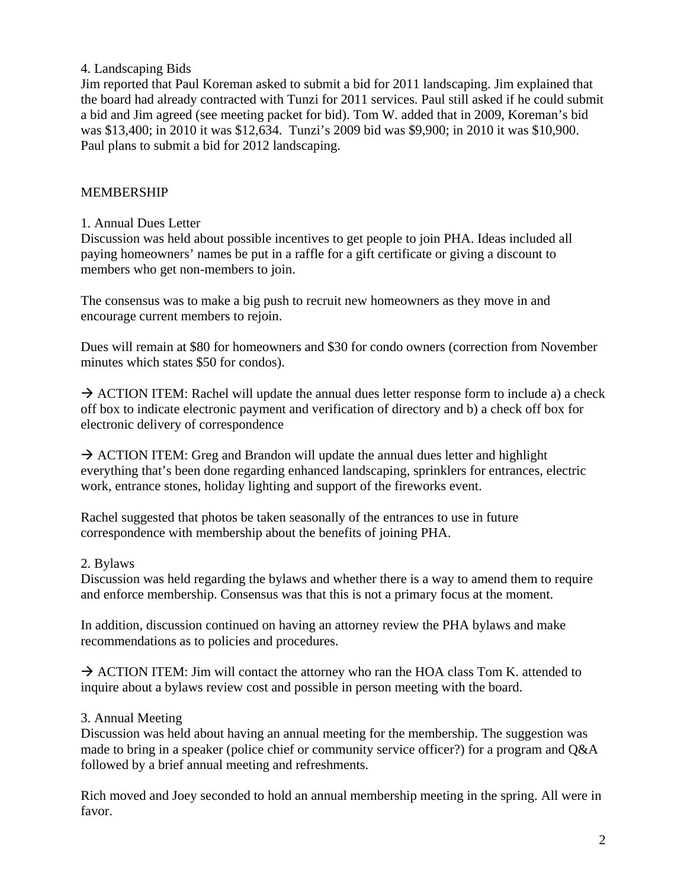## 4. Landscaping Bids

Jim reported that Paul Koreman asked to submit a bid for 2011 landscaping. Jim explained that the board had already contracted with Tunzi for 2011 services. Paul still asked if he could submit a bid and Jim agreed (see meeting packet for bid). Tom W. added that in 2009, Koreman's bid was \$13,400; in 2010 it was \$12,634. Tunzi's 2009 bid was \$9,900; in 2010 it was \$10,900. Paul plans to submit a bid for 2012 landscaping.

### MEMBERSHIP

### 1. Annual Dues Letter

Discussion was held about possible incentives to get people to join PHA. Ideas included all paying homeowners' names be put in a raffle for a gift certificate or giving a discount to members who get non-members to join.

The consensus was to make a big push to recruit new homeowners as they move in and encourage current members to rejoin.

Dues will remain at \$80 for homeowners and \$30 for condo owners (correction from November minutes which states \$50 for condos).

 $\rightarrow$  ACTION ITEM: Rachel will update the annual dues letter response form to include a) a check off box to indicate electronic payment and verification of directory and b) a check off box for electronic delivery of correspondence

 $\rightarrow$  ACTION ITEM: Greg and Brandon will update the annual dues letter and highlight everything that's been done regarding enhanced landscaping, sprinklers for entrances, electric work, entrance stones, holiday lighting and support of the fireworks event.

Rachel suggested that photos be taken seasonally of the entrances to use in future correspondence with membership about the benefits of joining PHA.

### 2. Bylaws

Discussion was held regarding the bylaws and whether there is a way to amend them to require and enforce membership. Consensus was that this is not a primary focus at the moment.

In addition, discussion continued on having an attorney review the PHA bylaws and make recommendations as to policies and procedures.

 $\rightarrow$  ACTION ITEM: Jim will contact the attorney who ran the HOA class Tom K. attended to inquire about a bylaws review cost and possible in person meeting with the board.

## 3. Annual Meeting

Discussion was held about having an annual meeting for the membership. The suggestion was made to bring in a speaker (police chief or community service officer?) for a program and Q&A followed by a brief annual meeting and refreshments.

Rich moved and Joey seconded to hold an annual membership meeting in the spring. All were in favor.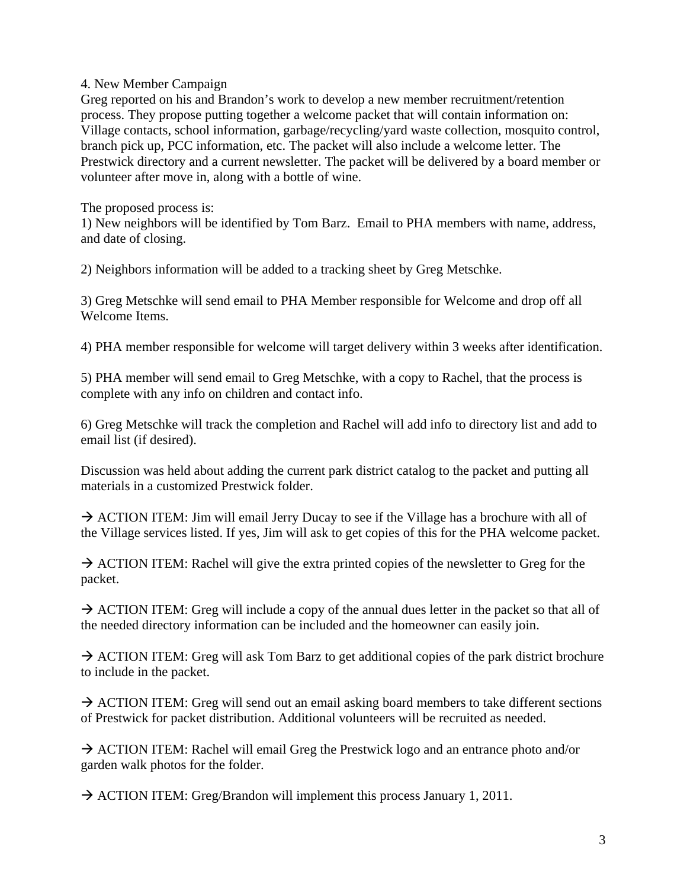### 4. New Member Campaign

Greg reported on his and Brandon's work to develop a new member recruitment/retention process. They propose putting together a welcome packet that will contain information on: Village contacts, school information, garbage/recycling/yard waste collection, mosquito control, branch pick up, PCC information, etc. The packet will also include a welcome letter. The Prestwick directory and a current newsletter. The packet will be delivered by a board member or volunteer after move in, along with a bottle of wine.

The proposed process is:

1) New neighbors will be identified by Tom Barz. Email to PHA members with name, address, and date of closing.

2) Neighbors information will be added to a tracking sheet by Greg Metschke.

3) Greg Metschke will send email to PHA Member responsible for Welcome and drop off all Welcome Items.

4) PHA member responsible for welcome will target delivery within 3 weeks after identification.

5) PHA member will send email to Greg Metschke, with a copy to Rachel, that the process is complete with any info on children and contact info.

6) Greg Metschke will track the completion and Rachel will add info to directory list and add to email list (if desired).

Discussion was held about adding the current park district catalog to the packet and putting all materials in a customized Prestwick folder.

 $\rightarrow$  ACTION ITEM: Jim will email Jerry Ducay to see if the Village has a brochure with all of the Village services listed. If yes, Jim will ask to get copies of this for the PHA welcome packet.

 $\rightarrow$  ACTION ITEM: Rachel will give the extra printed copies of the newsletter to Greg for the packet.

 $\rightarrow$  ACTION ITEM: Greg will include a copy of the annual dues letter in the packet so that all of the needed directory information can be included and the homeowner can easily join.

 $\rightarrow$  ACTION ITEM: Greg will ask Tom Barz to get additional copies of the park district brochure to include in the packet.

 $\rightarrow$  ACTION ITEM: Greg will send out an email asking board members to take different sections of Prestwick for packet distribution. Additional volunteers will be recruited as needed.

 $\rightarrow$  ACTION ITEM: Rachel will email Greg the Prestwick logo and an entrance photo and/or garden walk photos for the folder.

 $\rightarrow$  ACTION ITEM: Greg/Brandon will implement this process January 1, 2011.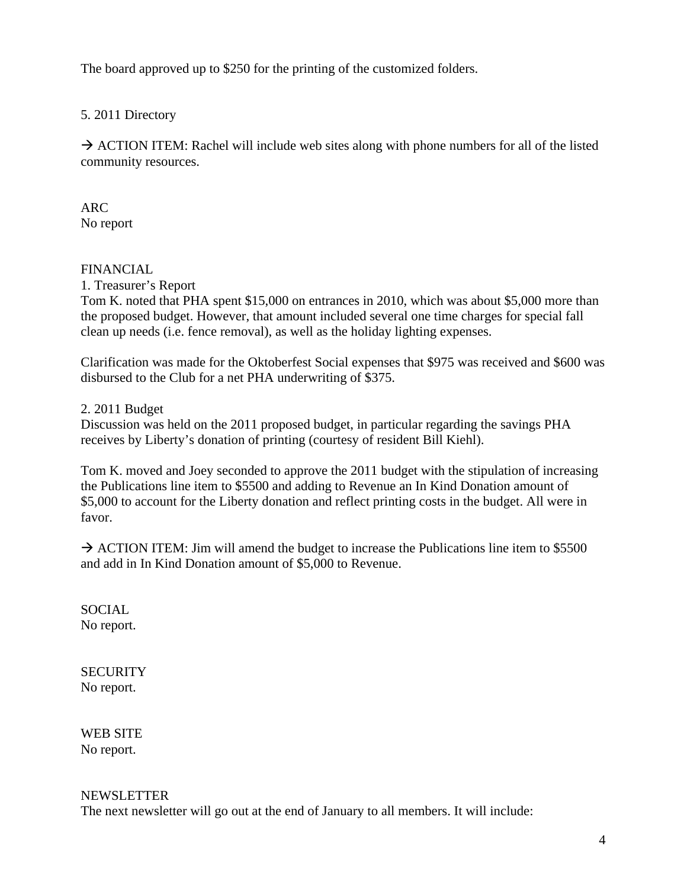The board approved up to \$250 for the printing of the customized folders.

# 5. 2011 Directory

 $\rightarrow$  ACTION ITEM: Rachel will include web sites along with phone numbers for all of the listed community resources.

#### ARC No report

### FINANCIAL

1. Treasurer's Report

Tom K. noted that PHA spent \$15,000 on entrances in 2010, which was about \$5,000 more than the proposed budget. However, that amount included several one time charges for special fall clean up needs (i.e. fence removal), as well as the holiday lighting expenses.

Clarification was made for the Oktoberfest Social expenses that \$975 was received and \$600 was disbursed to the Club for a net PHA underwriting of \$375.

2. 2011 Budget

Discussion was held on the 2011 proposed budget, in particular regarding the savings PHA receives by Liberty's donation of printing (courtesy of resident Bill Kiehl).

Tom K. moved and Joey seconded to approve the 2011 budget with the stipulation of increasing the Publications line item to \$5500 and adding to Revenue an In Kind Donation amount of \$5,000 to account for the Liberty donation and reflect printing costs in the budget. All were in favor.

 $\rightarrow$  ACTION ITEM: Jim will amend the budget to increase the Publications line item to \$5500 and add in In Kind Donation amount of \$5,000 to Revenue.

**SOCIAL** No report.

**SECURITY** No report.

WEB SITE No report.

## **NEWSLETTER**

The next newsletter will go out at the end of January to all members. It will include: